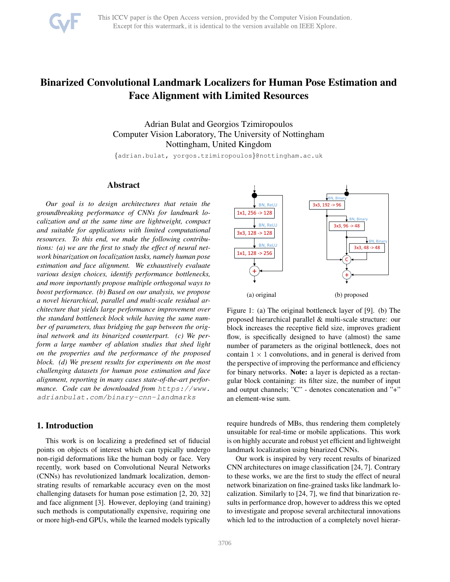

# Binarized Convolutional Landmark Localizers for Human Pose Estimation and Face Alignment with Limited Resources

Adrian Bulat and Georgios Tzimiropoulos Computer Vision Laboratory, The University of Nottingham Nottingham, United Kingdom

{adrian.bulat, yorgos.tzimiropoulos}@nottingham.ac.uk

## Abstract

*Our goal is to design architectures that retain the groundbreaking performance of CNNs for landmark localization and at the same time are lightweight, compact and suitable for applications with limited computational resources. To this end, we make the following contributions: (a) we are the first to study the effect of neural network binarization on localization tasks, namely human pose estimation and face alignment. We exhaustively evaluate various design choices, identify performance bottlenecks, and more importantly propose multiple orthogonal ways to boost performance. (b) Based on our analysis, we propose a novel hierarchical, parallel and multi-scale residual architecture that yields large performance improvement over the standard bottleneck block while having the same number of parameters, thus bridging the gap between the original network and its binarized counterpart. (c) We perform a large number of ablation studies that shed light on the properties and the performance of the proposed block. (d) We present results for experiments on the most challenging datasets for human pose estimation and face alignment, reporting in many cases state-of-the-art performance. Code can be downloaded from https://www. adrianbulat.com/binary-cnn-landmarks*

# 1. Introduction

This work is on localizing a predefined set of fiducial points on objects of interest which can typically undergo non-rigid deformations like the human body or face. Very recently, work based on Convolutional Neural Networks (CNNs) has revolutionized landmark localization, demonstrating results of remarkable accuracy even on the most challenging datasets for human pose estimation [2, 20, 32] and face alignment [3]. However, deploying (and training) such methods is computationally expensive, requiring one or more high-end GPUs, while the learned models typically



Figure 1: (a) The original bottleneck layer of [9]. (b) The proposed hierarchical parallel & multi-scale structure: our block increases the receptive field size, improves gradient flow, is specifically designed to have (almost) the same number of parameters as the original bottleneck, does not contain  $1 \times 1$  convolutions, and in general is derived from the perspective of improving the performance and efficiency for binary networks. Note: a layer is depicted as a rectangular block containing: its filter size, the number of input and output channels; "C" - denotes concatenation and "+" an element-wise sum.

require hundreds of MBs, thus rendering them completely unsuitable for real-time or mobile applications. This work is on highly accurate and robust yet efficient and lightweight landmark localization using binarized CNNs.

Our work is inspired by very recent results of binarized CNN architectures on image classification [24, 7]. Contrary to these works, we are the first to study the effect of neural network binarization on fine-grained tasks like landmark localization. Similarly to [24, 7], we find that binarization results in performance drop, however to address this we opted to investigate and propose several architectural innovations which led to the introduction of a completely novel hierar-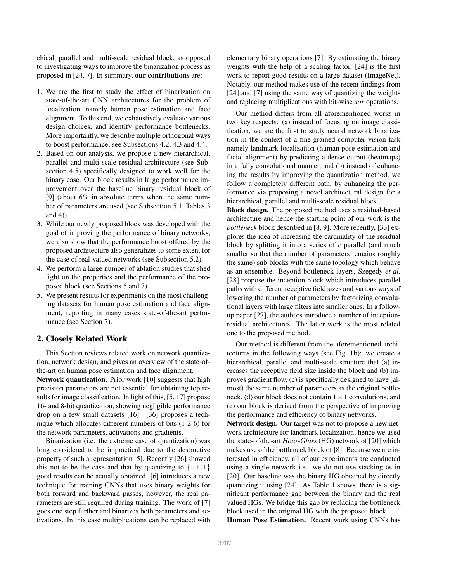chical, parallel and multi-scale residual block, as opposed to investigating ways to improve the binarization process as proposed in [24, 7]. In summary, our contributions are:

- 1. We are the first to study the effect of binarization on state-of-the-art CNN architectures for the problem of localization, namely human pose estimation and face alignment. To this end, we exhaustively evaluate various design choices, and identify performance bottlenecks. More importantly, we describe multiple orthogonal ways to boost performance; see Subsections 4.2, 4.3 and 4.4.
- 2. Based on our analysis, we propose a new hierarchical, parallel and multi-scale residual architecture (see Subsection 4.5) specifically designed to work well for the binary case. Our block results in large performance improvement over the baseline binary residual block of [9] (about 6% in absolute terms when the same number of parameters are used (see Subsection 5.1, Tables 3 and 4)).
- 3. While our newly proposed block was developed with the goal of improving the performance of binary networks, we also show that the performance boost offered by the proposed architecture also generalizes to some extent for the case of real-valued networks (see Subsection 5.2).
- 4. We perform a large number of ablation studies that shed light on the properties and the performance of the proposed block (see Sections 5 and 7).
- 5. We present results for experiments on the most challenging datasets for human pose estimation and face alignment, reporting in many cases state-of-the-art performance (see Section 7).

## 2. Closely Related Work

This Section reviews related work on network quantization, network design, and gives an overview of the state-ofthe-art on human pose estimation and face alignment.

Network quantization. Prior work [10] suggests that high precision parameters are not essential for obtaining top results for image classification. In light of this, [5, 17] propose 16- and 8-bit quantization, showing negligible performance drop on a few small datasets [16]. [36] proposes a technique which allocates different numbers of bits (1-2-6) for the network parameters, activations and gradients.

Binarization (i.e. the extreme case of quantization) was long considered to be impractical due to the destructive property of such a representation [5]. Recently [26] showed this not to be the case and that by quantizing to  $\{-1, 1\}$ good results can be actually obtained. [6] introduces a new technique for training CNNs that uses binary weights for both forward and backward passes, however, the real parameters are still required during training. The work of [7] goes one step further and binarizes both parameters and activations. In this case multiplications can be replaced with elementary binary operations [7]. By estimating the binary weights with the help of a scaling factor, [24] is the first work to report good results on a large dataset (ImageNet). Notably, our method makes use of the recent findings from [24] and [7] using the same way of quantizing the weights and replacing multiplications with bit-wise *xor* operations.

Our method differs from all aforementioned works in two key respects: (a) instead of focusing on image classification, we are the first to study neural network binarization in the context of a fine-grained computer vision task namely landmark localization (human pose estimation and facial alignment) by predicting a dense output (heatmaps) in a fully convolutional manner, and (b) instead of enhancing the results by improving the quantization method, we follow a completely different path, by enhancing the performance via proposing a novel architectural design for a hierarchical, parallel and multi-scale residual block.

Block design. The proposed method uses a residual-based architecture and hence the starting point of our work is the *bottleneck* block described in [8, 9]. More recently, [33] explores the idea of increasing the cardinality of the residual block by splitting it into a series of  $c$  parallel (and much smaller so that the number of parameters remains roughly the same) sub-blocks with the same topology which behave as an ensemble. Beyond bottleneck layers, Szegedy *et al*. [28] propose the inception block which introduces parallel paths with different receptive field sizes and various ways of lowering the number of parameters by factorizing convolutional layers with large filters into smaller ones. In a followup paper [27], the authors introduce a number of inceptionresidual architectures. The latter work is the most related one to the proposed method.

Our method is different from the aforementioned architectures in the following ways (see Fig. 1b): we create a hierarchical, parallel and multi-scale structure that (a) increases the receptive field size inside the block and (b) improves gradient flow, (c) is specifically designed to have (almost) the same number of parameters as the original bottleneck, (d) our block does not contain  $1 \times 1$  convolutions, and (e) our block is derived from the perspective of improving the performance and efficiency of binary networks.

Network design. Our target was not to propose a new network architecture for landmark localization; hence we used the state-of-the-art *Hour-Glass* (HG) network of [20] which makes use of the bottleneck block of [8]. Because we are interested in efficiency, all of our experiments are conducted using a single network i.e. we do not use stacking as in [20]. Our baseline was the binary HG obtained by directly quantizing it using [24]. As Table 1 shows, there is a significant performance gap between the binary and the real valued HGs. We bridge this gap by replacing the bottleneck block used in the original HG with the proposed block.

Human Pose Estimation. Recent work using CNNs has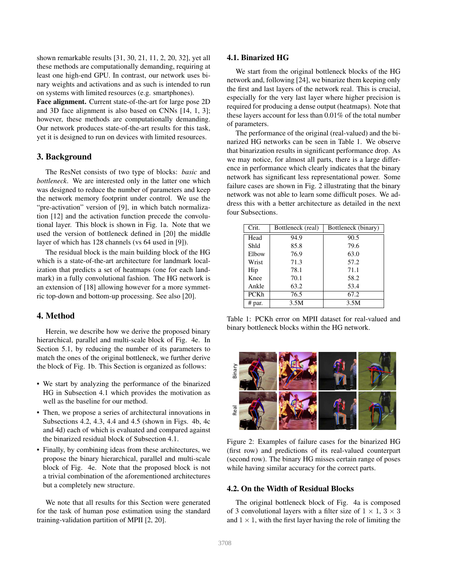shown remarkable results [31, 30, 21, 11, 2, 20, 32], yet all these methods are computationally demanding, requiring at least one high-end GPU. In contrast, our network uses binary weights and activations and as such is intended to run on systems with limited resources (e.g. smartphones).

Face alignment. Current state-of-the-art for large pose 2D and 3D face alignment is also based on CNNs [14, 1, 3]; however, these methods are computationally demanding. Our network produces state-of-the-art results for this task, yet it is designed to run on devices with limited resources.

## 3. Background

The ResNet consists of two type of blocks: *basic* and *bottleneck*. We are interested only in the latter one which was designed to reduce the number of parameters and keep the network memory footprint under control. We use the "pre-activation" version of [9], in which batch normalization [12] and the activation function precede the convolutional layer. This block is shown in Fig. 1a. Note that we used the version of bottleneck defined in [20] the middle layer of which has 128 channels (vs 64 used in [9]).

The residual block is the main building block of the HG which is a state-of-the-art architecture for landmark localization that predicts a set of heatmaps (one for each landmark) in a fully convolutional fashion. The HG network is an extension of [18] allowing however for a more symmetric top-down and bottom-up processing. See also [20].

# 4. Method

Herein, we describe how we derive the proposed binary hierarchical, parallel and multi-scale block of Fig. 4e. In Section 5.1, by reducing the number of its parameters to match the ones of the original bottleneck, we further derive the block of Fig. 1b. This Section is organized as follows:

- We start by analyzing the performance of the binarized HG in Subsection 4.1 which provides the motivation as well as the baseline for our method.
- Then, we propose a series of architectural innovations in Subsections 4.2, 4.3, 4.4 and 4.5 (shown in Figs. 4b, 4c and 4d) each of which is evaluated and compared against the binarized residual block of Subsection 4.1.
- Finally, by combining ideas from these architectures, we propose the binary hierarchical, parallel and multi-scale block of Fig. 4e. Note that the proposed block is not a trivial combination of the aforementioned architectures but a completely new structure.

We note that all results for this Section were generated for the task of human pose estimation using the standard training-validation partition of MPII [2, 20].

## 4.1. Binarized HG

We start from the original bottleneck blocks of the HG network and, following [24], we binarize them keeping only the first and last layers of the network real. This is crucial, especially for the very last layer where higher precision is required for producing a dense output (heatmaps). Note that these layers account for less than 0.01% of the total number of parameters.

The performance of the original (real-valued) and the binarized HG networks can be seen in Table 1. We observe that binarization results in significant performance drop. As we may notice, for almost all parts, there is a large difference in performance which clearly indicates that the binary network has significant less representational power. Some failure cases are shown in Fig. 2 illustrating that the binary network was not able to learn some difficult poses. We address this with a better architecture as detailed in the next four Subsections.

| Crit.  | Bottleneck (real) | Bottleneck (binary) |
|--------|-------------------|---------------------|
| Head   | 94.9              | 90.5                |
| Shld   | 85.8              | 79.6                |
| Elbow  | 76.9              | 63.0                |
| Wrist  | 71.3              | 57.2                |
| Hip    | 78.1              | 71.1                |
| Knee   | 70.1              | 58.2                |
| Ankle  | 63.2              | 53.4                |
| PCKh   | 76.5              | 67.2                |
| # par. | 3.5M              | 3.5M                |

Table 1: PCKh error on MPII dataset for real-valued and binary bottleneck blocks within the HG network.



Figure 2: Examples of failure cases for the binarized HG (first row) and predictions of its real-valued counterpart (second row). The binary HG misses certain range of poses while having similar accuracy for the correct parts.

## 4.2. On the Width of Residual Blocks

The original bottleneck block of Fig. 4a is composed of 3 convolutional layers with a filter size of  $1 \times 1$ ,  $3 \times 3$ and  $1 \times 1$ , with the first layer having the role of limiting the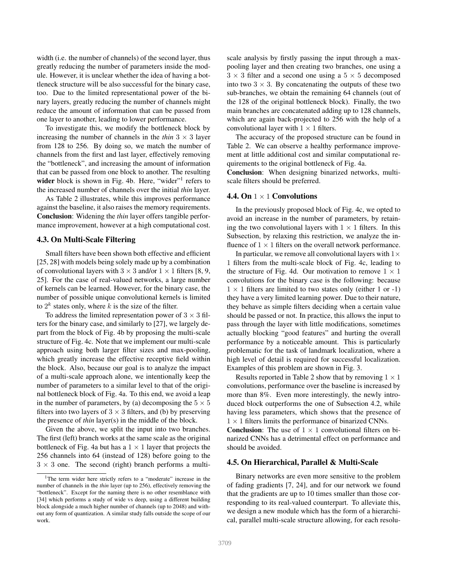width (i.e. the number of channels) of the second layer, thus greatly reducing the number of parameters inside the module. However, it is unclear whether the idea of having a bottleneck structure will be also successful for the binary case, too. Due to the limited representational power of the binary layers, greatly reducing the number of channels might reduce the amount of information that can be passed from one layer to another, leading to lower performance.

To investigate this, we modify the bottleneck block by increasing the number of channels in the *thin*  $3 \times 3$  layer from 128 to 256. By doing so, we match the number of channels from the first and last layer, effectively removing the "bottleneck", and increasing the amount of information that can be passed from one block to another. The resulting wider block is shown in Fig. 4b. Here, "wider"<sup>1</sup> refers to the increased number of channels over the initial *thin* layer.

As Table 2 illustrates, while this improves performance against the baseline, it also raises the memory requirements. Conclusion: Widening the *thin* layer offers tangible performance improvement, however at a high computational cost.

#### 4.3. On Multi-Scale Filtering

Small filters have been shown both effective and efficient [25, 28] with models being solely made up by a combination of convolutional layers with  $3 \times 3$  and/or  $1 \times 1$  filters [8, 9, 25]. For the case of real-valued networks, a large number of kernels can be learned. However, for the binary case, the number of possible unique convolutional kernels is limited to  $2^k$  states only, where k is the size of the filter.

To address the limited representation power of  $3 \times 3$  filters for the binary case, and similarly to [27], we largely depart from the block of Fig. 4b by proposing the multi-scale structure of Fig. 4c. Note that we implement our multi-scale approach using both larger filter sizes and max-pooling, which greatly increase the effective receptive field within the block. Also, because our goal is to analyze the impact of a multi-scale approach alone, we intentionally keep the number of parameters to a similar level to that of the original bottleneck block of Fig. 4a. To this end, we avoid a leap in the number of parameters, by (a) decomposing the  $5 \times 5$ filters into two layers of  $3 \times 3$  filters, and (b) by preserving the presence of *thin* layer(s) in the middle of the block.

Given the above, we split the input into two branches. The first (left) branch works at the same scale as the original bottleneck of Fig. 4a but has a  $1 \times 1$  layer that projects the 256 channels into 64 (instead of 128) before going to the  $3 \times 3$  one. The second (right) branch performs a multiscale analysis by firstly passing the input through a maxpooling layer and then creating two branches, one using a  $3 \times 3$  filter and a second one using a  $5 \times 5$  decomposed into two  $3 \times 3$ . By concatenating the outputs of these two sub-branches, we obtain the remaining 64 channels (out of the 128 of the original bottleneck block). Finally, the two main branches are concatenated adding up to 128 channels, which are again back-projected to 256 with the help of a convolutional layer with  $1 \times 1$  filters.

The accuracy of the proposed structure can be found in Table 2. We can observe a healthy performance improvement at little additional cost and similar computational requirements to the original bottleneck of Fig. 4a.

Conclusion: When designing binarized networks, multiscale filters should be preferred.

#### **4.4. On**  $1 \times 1$  Convolutions

In the previously proposed block of Fig. 4c, we opted to avoid an increase in the number of parameters, by retaining the two convolutional layers with  $1 \times 1$  filters. In this Subsection, by relaxing this restriction, we analyze the influence of  $1 \times 1$  filters on the overall network performance.

In particular, we remove all convolutional layers with  $1\times$ 1 filters from the multi-scale block of Fig. 4c, leading to the structure of Fig. 4d. Our motivation to remove  $1 \times 1$ convolutions for the binary case is the following: because  $1 \times 1$  filters are limited to two states only (either 1 or -1) they have a very limited learning power. Due to their nature, they behave as simple filters deciding when a certain value should be passed or not. In practice, this allows the input to pass through the layer with little modifications, sometimes actually blocking "good features" and hurting the overall performance by a noticeable amount. This is particularly problematic for the task of landmark localization, where a high level of detail is required for successful localization. Examples of this problem are shown in Fig. 3.

Results reported in Table 2 show that by removing  $1 \times 1$ convolutions, performance over the baseline is increased by more than 8%. Even more interestingly, the newly introduced block outperforms the one of Subsection 4.2, while having less parameters, which shows that the presence of  $1 \times 1$  filters limits the performance of binarized CNNs.

**Conclusion:** The use of  $1 \times 1$  convolutional filters on binarized CNNs has a detrimental effect on performance and should be avoided.

#### 4.5. On Hierarchical, Parallel & Multi-Scale

Binary networks are even more sensitive to the problem of fading gradients [7, 24], and for our network we found that the gradients are up to 10 times smaller than those corresponding to its real-valued counterpart. To alleviate this, we design a new module which has the form of a hierarchical, parallel multi-scale structure allowing, for each resolu-

<sup>&</sup>lt;sup>1</sup>The term wider here strictly refers to a "moderate" increase in the number of channels in the *thin* layer (up to 256), effectively removing the "bottleneck". Except for the naming there is no other resemblance with [34] which performs a study of wide vs deep, using a different building block alongside a much higher number of channels (up to 2048) and without any form of quantization. A similar study falls outside the scope of our work.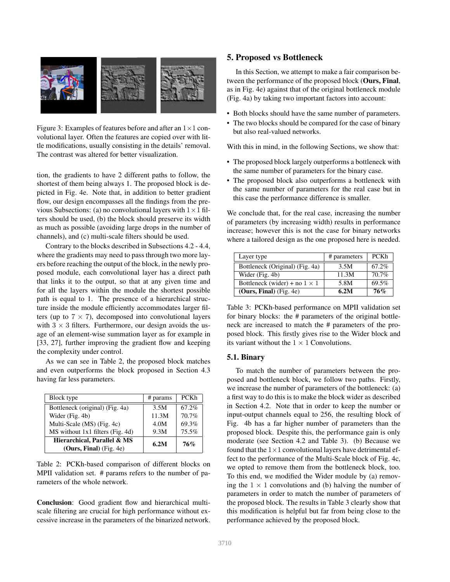

Figure 3: Examples of features before and after an  $1 \times 1$  convolutional layer. Often the features are copied over with little modifications, usually consisting in the details' removal. The contrast was altered for better visualization.

tion, the gradients to have 2 different paths to follow, the shortest of them being always 1. The proposed block is depicted in Fig. 4e. Note that, in addition to better gradient flow, our design encompasses all the findings from the previous Subsections: (a) no convolutional layers with  $1 \times 1$  filters should be used, (b) the block should preserve its width as much as possible (avoiding large drops in the number of channels), and (c) multi-scale filters should be used.

Contrary to the blocks described in Subsections 4.2 - 4.4, where the gradients may need to pass through two more layers before reaching the output of the block, in the newly proposed module, each convolutional layer has a direct path that links it to the output, so that at any given time and for all the layers within the module the shortest possible path is equal to 1. The presence of a hierarchical structure inside the module efficiently accommodates larger filters (up to  $7 \times 7$ ), decomposed into convolutional layers with  $3 \times 3$  filters. Furthermore, our design avoids the usage of an element-wise summation layer as for example in [33, 27], further improving the gradient flow and keeping the complexity under control.

As we can see in Table 2, the proposed block matches and even outperforms the block proposed in Section 4.3 having far less parameters.

| Block type                       | # params | PCKh  |
|----------------------------------|----------|-------|
| Bottleneck (original) (Fig. 4a)  | 3.5M     | 67.2% |
| Wider (Fig. 4b)                  | 11.3M    | 70.7% |
| Multi-Scale (MS) (Fig. 4c)       | 4.0M     | 69.3% |
| MS without 1x1 filters (Fig. 4d) | 9.3M     | 75.5% |
| Hierarchical, Parallel & MS      | 6.2M     | 76%   |
| $(Ours, Final)$ (Fig. 4e)        |          |       |

Table 2: PCKh-based comparison of different blocks on MPII validation set. # params refers to the number of parameters of the whole network.

Conclusion: Good gradient flow and hierarchical multiscale filtering are crucial for high performance without excessive increase in the parameters of the binarized network.

## 5. Proposed vs Bottleneck

In this Section, we attempt to make a fair comparison between the performance of the proposed block (Ours, Final, as in Fig. 4e) against that of the original bottleneck module (Fig. 4a) by taking two important factors into account:

- Both blocks should have the same number of parameters.
- The two blocks should be compared for the case of binary but also real-valued networks.

With this in mind, in the following Sections, we show that:

- The proposed block largely outperforms a bottleneck with the same number of parameters for the binary case.
- The proposed block also outperforms a bottleneck with the same number of parameters for the real case but in this case the performance difference is smaller.

We conclude that, for the real case, increasing the number of parameters (by increasing width) results in performance increase; however this is not the case for binary networks where a tailored design as the one proposed here is needed.

| Layer type                           | # parameters | <b>PCKh</b> |
|--------------------------------------|--------------|-------------|
| Bottleneck (Original) (Fig. 4a)      | 3.5M         | 67.2%       |
| Wider (Fig. 4b)                      | 11.3M        | 70.7%       |
| Bottleneck (wider) + no $1 \times 1$ | 5.8M         | 69.5%       |
| $(Ours, Final)$ (Fig. 4e)            | 6.2M         | 76%         |

Table 3: PCKh-based performance on MPII validation set for binary blocks: the # parameters of the original bottleneck are increased to match the # parameters of the proposed block. This firstly gives rise to the Wider block and its variant without the  $1 \times 1$  Convolutions.

## 5.1. Binary

To match the number of parameters between the proposed and bottleneck block, we follow two paths. Firstly, we increase the number of parameters of the bottleneck: (a) a first way to do this is to make the block wider as described in Section 4.2. Note that in order to keep the number or input-output channels equal to 256, the resulting block of Fig. 4b has a far higher number of parameters than the proposed block. Despite this, the performance gain is only moderate (see Section 4.2 and Table 3). (b) Because we found that the  $1\times1$  convolutional layers have detrimental effect to the performance of the Multi-Scale block of Fig. 4c, we opted to remove them from the bottleneck block, too. To this end, we modified the Wider module by (a) removing the  $1 \times 1$  convolutions and (b) halving the number of parameters in order to match the number of parameters of the proposed block. The results in Table 3 clearly show that this modification is helpful but far from being close to the performance achieved by the proposed block.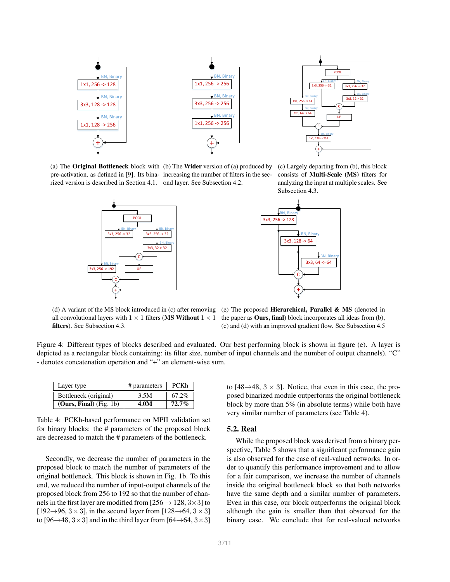

(a) The Original Bottleneck block with (b) The Wider version of (a) produced by pre-activation, as defined in [9]. Its bina-increasing the number of filters in the secrized version is described in Section 4.1. ond layer. See Subsection 4.2.



Subsection 4.3. 3x3, 256 -> 128 3x3, 128 -> 64 BN, Binary BN, Binary

(c) Largely departing from (b), this block consists of Multi-Scale (MS) filters for analyzing the input at multiple scales. See



all convolutional layers with  $1 \times 1$  filters (**MS Without**  $1 \times 1$ filters). See Subsection 4.3.

(d) A variant of the MS block introduced in (c) after removing (e) The proposed **Hierarchical, Parallel & MS** (denoted in the paper as Ours, final) block incorporates all ideas from (b), (c) and (d) with an improved gradient flow. See Subsection 4.5

Figure 4: Different types of blocks described and evaluated. Our best performing block is shown in figure (e). A layer is depicted as a rectangular block containing: its filter size, number of input channels and the number of output channels). "C" - denotes concatenation operation and "+" an element-wise sum.

| Layer type                | # parameters | PCKh  |  |
|---------------------------|--------------|-------|--|
| Bottleneck (original)     | 3.5M         | 67.2% |  |
| $(Ours, Final)$ (Fig. 1b) | 4.0M         | 72.7% |  |

Table 4: PCKh-based performance on MPII validation set for binary blocks: the # parameters of the proposed block are decreased to match the # parameters of the bottleneck.

Secondly, we decrease the number of parameters in the proposed block to match the number of parameters of the original bottleneck. This block is shown in Fig. 1b. To this end, we reduced the number of input-output channels of the proposed block from 256 to 192 so that the number of channels in the first layer are modified from [256  $\rightarrow$  128, 3×3] to  $[192 \rightarrow 96, 3 \times 3]$ , in the second layer from  $[128 \rightarrow 64, 3 \times 3]$ to [96 $\rightarrow$ 48, 3 × 3] and in the third layer from [64 $\rightarrow$ 64, 3 × 3] to [48 $\rightarrow$ 48, 3  $\times$  3]. Notice, that even in this case, the proposed binarized module outperforms the original bottleneck block by more than 5% (in absolute terms) while both have very similar number of parameters (see Table 4).

### 5.2. Real

While the proposed block was derived from a binary perspective, Table 5 shows that a significant performance gain is also observed for the case of real-valued networks. In order to quantify this performance improvement and to allow for a fair comparison, we increase the number of channels inside the original bottleneck block so that both networks have the same depth and a similar number of parameters. Even in this case, our block outperforms the original block although the gain is smaller than that observed for the binary case. We conclude that for real-valued networks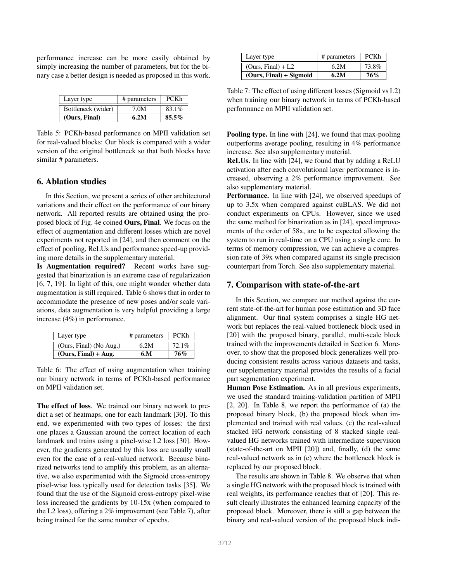performance increase can be more easily obtained by simply increasing the number of parameters, but for the binary case a better design is needed as proposed in this work.

| Layer type         | # parameters | <b>PCKh</b> |  |
|--------------------|--------------|-------------|--|
| Bottleneck (wider) | 7.0M         | 83.1%       |  |
| (Ours, Final)      | 6.2M         | $85.5\%$    |  |

Table 5: PCKh-based performance on MPII validation set for real-valued blocks: Our block is compared with a wider version of the original bottleneck so that both blocks have similar # parameters.

# 6. Ablation studies

In this Section, we present a series of other architectural variations and their effect on the performance of our binary network. All reported results are obtained using the proposed block of Fig. 4e coined Ours, Final. We focus on the effect of augmentation and different losses which are novel experiments not reported in [24], and then comment on the effect of pooling, ReLUs and performance speed-up providing more details in the supplementary material.

Is Augmentation required? Recent works have suggested that binarization is an extreme case of regularization [6, 7, 19]. In light of this, one might wonder whether data augmentation is still required. Table 6 shows that in order to accommodate the presence of new poses and/or scale variations, data augmentation is very helpful providing a large increase (4%) in performance.

| Layer type              | # parameters | PCKh  |
|-------------------------|--------------|-------|
| (Ours, Final) (No Aug.) | 6.2M         | 72.1% |
| $(Ours, Final) + Aug.$  | 6.M          | 76%   |

Table 6: The effect of using augmentation when training our binary network in terms of PCKh-based performance on MPII validation set.

The effect of loss. We trained our binary network to predict a set of heatmaps, one for each landmark [30]. To this end, we experimented with two types of losses: the first one places a Gaussian around the correct location of each landmark and trains using a pixel-wise L2 loss [30]. However, the gradients generated by this loss are usually small even for the case of a real-valued network. Because binarized networks tend to amplify this problem, as an alternative, we also experimented with the Sigmoid cross-entropy pixel-wise loss typically used for detection tasks [35]. We found that the use of the Sigmoid cross-entropy pixel-wise loss increased the gradients by 10-15x (when compared to the L2 loss), offering a 2% improvement (see Table 7), after being trained for the same number of epochs.

| Layer type                | # parameters | <b>PCKh</b> |
|---------------------------|--------------|-------------|
| $(Ours, Final) + L2$      | 6.2M         | 73.8%       |
| $(Ours, Final) + Sigmoid$ | 6.2M         | 76%         |

Table 7: The effect of using different losses (Sigmoid vs L2) when training our binary network in terms of PCKh-based performance on MPII validation set.

**Pooling type.** In line with [24], we found that max-pooling outperforms average pooling, resulting in 4% performance increase. See also supplementary material.

ReLUs. In line with [24], we found that by adding a ReLU activation after each convolutional layer performance is increased, observing a 2% performance improvement. See also supplementary material.

Performance. In line with [24], we observed speedups of up to 3.5x when compared against cuBLAS. We did not conduct experiments on CPUs. However, since we used the same method for binarization as in [24], speed improvements of the order of 58x, are to be expected allowing the system to run in real-time on a CPU using a single core. In terms of memory compression, we can achieve a compression rate of 39x when compared against its single precision counterpart from Torch. See also supplementary material.

# 7. Comparison with state-of-the-art

In this Section, we compare our method against the current state-of-the-art for human pose estimation and 3D face alignment. Our final system comprises a single HG network but replaces the real-valued bottleneck block used in [20] with the proposed binary, parallel, multi-scale block trained with the improvements detailed in Section 6. Moreover, to show that the proposed block generalizes well producing consistent results across various datasets and tasks, our supplementary material provides the results of a facial part segmentation experiment.

Human Pose Estimation. As in all previous experiments, we used the standard training-validation partition of MPII [2, 20]. In Table 8, we report the performance of (a) the proposed binary block, (b) the proposed block when implemented and trained with real values, (c) the real-valued stacked HG network consisting of 8 stacked single realvalued HG networks trained with intermediate supervision (state-of-the-art on MPII [20]) and, finally, (d) the same real-valued network as in (c) where the bottleneck block is replaced by our proposed block.

The results are shown in Table 8. We observe that when a single HG network with the proposed block is trained with real weights, its performance reaches that of [20]. This result clearly illustrates the enhanced learning capacity of the proposed block. Moreover, there is still a gap between the binary and real-valued version of the proposed block indi-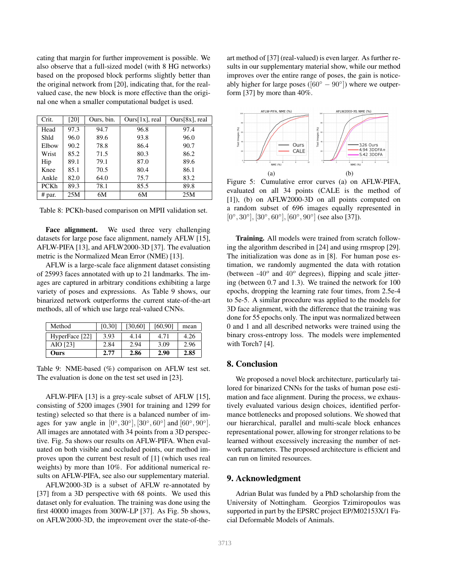cating that margin for further improvement is possible. We also observe that a full-sized model (with 8 HG networks) based on the proposed block performs slightly better than the original network from [20], indicating that, for the realvalued case, the new block is more effective than the original one when a smaller computational budget is used.

| Crit.       | [20] | Ours, bin. | Ours $[1x]$ , real | Ours $[8x]$ , real |
|-------------|------|------------|--------------------|--------------------|
| Head        | 97.3 | 94.7       | 96.8               | 97.4               |
| Shld        | 96.0 | 89.6       | 93.8               | 96.0               |
| Elbow       | 90.2 | 78.8       | 86.4               | 90.7               |
| Wrist       | 85.2 | 71.5       | 80.3               | 86.2               |
| Hip         | 89.1 | 79.1       | 87.0               | 89.6               |
| Knee        | 85.1 | 70.5       | 80.4               | 86.1               |
| Ankle       | 82.0 | 64.0       | 75.7               | 83.2               |
| <b>PCKh</b> | 89.3 | 78.1       | 85.5               | 89.8               |
| # par.      | 25M  | 6M         | 6M                 | 25M                |

Table 8: PCKh-based comparison on MPII validation set.

Face alignment. We used three very challenging datasets for large pose face alignment, namely AFLW [15], AFLW-PIFA [13], and AFLW2000-3D [37]. The evaluation metric is the Normalized Mean Error (NME) [13].

AFLW is a large-scale face alignment dataset consisting of 25993 faces annotated with up to 21 landmarks. The images are captured in arbitrary conditions exhibiting a large variety of poses and expressions. As Table 9 shows, our binarized network outperforms the current state-of-the-art methods, all of which use large real-valued CNNs.

| Method         | [0, 30] | [30,60] | [60,90] | mean |
|----------------|---------|---------|---------|------|
| HyperFace [22] | 3.93    | 4.14    | 4.71    | 4.26 |
| AIO [23]       | 2.84    | 2.94    | 3.09    | 2.96 |
| Ours           | 2.77    | 2.86    | 2.90    | 2.85 |

Table 9: NME-based (%) comparison on AFLW test set. The evaluation is done on the test set used in [23].

AFLW-PIFA [13] is a grey-scale subset of AFLW [15], consisting of 5200 images (3901 for training and 1299 for testing) selected so that there is a balanced number of images for yaw angle in  $[0^\circ, 30^\circ]$ ,  $[30^\circ, 60^\circ]$  and  $[60^\circ, 90^\circ]$ . All images are annotated with 34 points from a 3D perspective. Fig. 5a shows our results on AFLW-PIFA. When evaluated on both visible and occluded points, our method improves upon the current best result of [1] (which uses real weights) by more than 10%. For additional numerical results on AFLW-PIFA, see also our supplementary material.

AFLW2000-3D is a subset of AFLW re-annotated by [37] from a 3D perspective with 68 points. We used this dataset only for evaluation. The training was done using the first 40000 images from 300W-LP [37]. As Fig. 5b shows, on AFLW2000-3D, the improvement over the state-of-theart method of [37] (real-valued) is even larger. As further results in our supplementary material show, while our method improves over the entire range of poses, the gain is noticeably higher for large poses ( $[60^{\circ} - 90^{\circ}]$ ) where we outperform [37] by more than 40%.



Figure 5: Cumulative error curves (a) on AFLW-PIFA, evaluated on all 34 points (CALE is the method of [1]), (b) on AFLW2000-3D on all points computed on a random subset of 696 images equally represented in  $[0^{\circ}, 30^{\circ}], [30^{\circ}, 60^{\circ}], [60^{\circ}, 90^{\circ}]$  (see also [37]).

Training. All models were trained from scratch following the algorithm described in [24] and using rmsprop [29]. The initialization was done as in [8]. For human pose estimation, we randomly augmented the data with rotation (between -40 $^{\circ}$  and 40 $^{\circ}$  degrees), flipping and scale jittering (between 0.7 and 1.3). We trained the network for 100 epochs, dropping the learning rate four times, from 2.5e-4 to 5e-5. A similar procedure was applied to the models for 3D face alignment, with the difference that the training was done for 55 epochs only. The input was normalized between 0 and 1 and all described networks were trained using the binary cross-entropy loss. The models were implemented with Torch7 [4].

## 8. Conclusion

We proposed a novel block architecture, particularly tailored for binarized CNNs for the tasks of human pose estimation and face alignment. During the process, we exhaustively evaluated various design choices, identified performance bottlenecks and proposed solutions. We showed that our hierarchical, parallel and multi-scale block enhances representational power, allowing for stronger relations to be learned without excessively increasing the number of network parameters. The proposed architecture is efficient and can run on limited resources.

## 9. Acknowledgment

Adrian Bulat was funded by a PhD scholarship from the University of Nottingham. Georgios Tzimiropoulos was supported in part by the EPSRC project EP/M02153X/1 Facial Deformable Models of Animals.